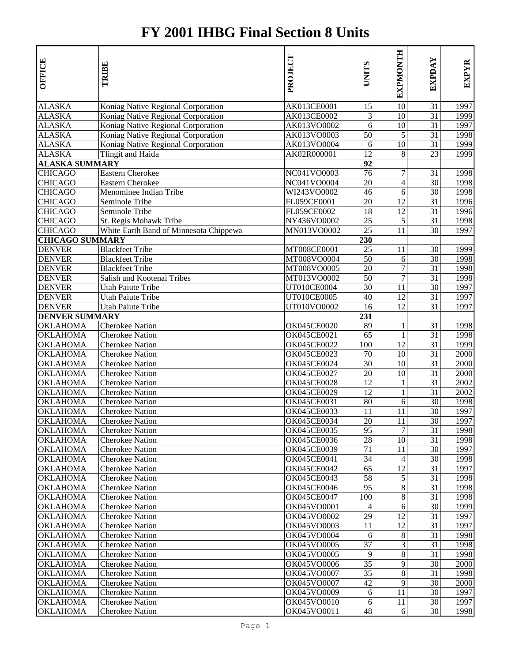## **FY 2001 IHBG Final Section 8 Units**

| <b>OFFICE</b>          | TRIBE                                  | PROJECT            | <b>UNITS</b>    | <b>EXPMONTH</b> | EXPDAY          | EXPYR |
|------------------------|----------------------------------------|--------------------|-----------------|-----------------|-----------------|-------|
| <b>ALASKA</b>          | Koniag Native Regional Corporation     | AK013CE0001        | 15              | 10              | 31              | 1997  |
| <b>ALASKA</b>          | Koniag Native Regional Corporation     | AK013CE0002        | 3               | 10              | 31              | 1999  |
| ALASKA                 | Koniag Native Regional Corporation     | AK013VO0002        | 6               | 10              | 31              | 1997  |
| <b>ALASKA</b>          | Koniag Native Regional Corporation     | AK013VO0003        | 50              | 5               | 31              | 1998  |
| ALASKA                 | Koniag Native Regional Corporation     | AK013VO0004        | 6               | $\overline{10}$ | 31              | 1999  |
| ALASKA                 | Tlingit and Haida                      | AK02R000001        | 12              | 8               | 23              | 1999  |
| <u>ALASKA SUMMARY</u>  |                                        |                    | 92              |                 |                 |       |
| <b>CHICAGO</b>         | Eastern Cherokee                       | NC041VO0003        | 76              | $\tau$          | 31              | 1998  |
| <b>CHICAGO</b>         | <b>Eastern Cherokee</b>                | NC041VO0004        | 20              | $\overline{4}$  | 30              | 1998  |
| <b>CHICAGO</b>         | Menominee Indian Tribe                 | WI243VO0002        | 46              | 6               | 30              | 1998  |
| <b>CHICAGO</b>         | Seminole Tribe                         | FL059CE0001        | 20              | 12              | 31              | 1996  |
| <b>CHICAGO</b>         | Seminole Tribe                         | FL059CE0002        | 18              | 12              | 31              | 1996  |
| <b>CHICAGO</b>         | St. Regis Mohawk Tribe                 | NY436VO0002        | 25              | 5               | 31              | 1998  |
| <b>CHICAGO</b>         | White Earth Band of Minnesota Chippewa | MN013VO0002        | 25              | 11              | 30              | 1997  |
| <b>CHICAGO SUMMARY</b> |                                        |                    | 230             |                 |                 |       |
| <b>DENVER</b>          | <b>Blackfeet Tribe</b>                 | MT008CE0001        | 25              | 11              | 30              | 1999  |
| <b>DENVER</b>          | <b>Blackfeet Tribe</b>                 | MT008VO0004        | 50              | 6               | 30              | 1998  |
| <b>DENVER</b>          | <b>Blackfeet Tribe</b>                 | MT008VO0005        | 20              | $\tau$          | $\overline{31}$ | 1998  |
| <b>DENVER</b>          | Salish and Kootenai Tribes             | MT013VO0002        | 50              | $\tau$          | 31              | 1998  |
| <b>DENVER</b>          | Utah Paiute Tribe                      | UT010CE0004        | $\overline{30}$ | 11              | $\overline{30}$ | 1997  |
| <b>DENVER</b>          | Utah Paiute Tribe                      | UT010CE0005        | 40              | 12              | 31              | 1997  |
| <b>DENVER</b>          | Utah Paiute Tribe                      | UT010VO0002        | 16              | 12              | 31              | 1997  |
| <b>DENVER SUMMARY</b>  |                                        |                    | 231             |                 |                 |       |
| <b>OKLAHOMA</b>        | <b>Cherokee Nation</b>                 | OK045CE0020        | 89              | $\mathbf{1}$    | 31              | 1998  |
| <b>OKLAHOMA</b>        | <b>Cherokee Nation</b>                 | <b>OK045CE0021</b> | 65              | $\mathbf{1}$    | 31              | 1998  |
| <b>OKLAHOMA</b>        | <b>Cherokee Nation</b>                 | <b>OK045CE0022</b> | 100             | 12              | 31              | 1999  |
| <b>OKLAHOMA</b>        | Cherokee Nation                        | OK045CE0023        | 70              | 10              | 31              | 2000  |
| <b>OKLAHOMA</b>        | Cherokee Nation                        | OK045CE0024        | 30              | 10              | 31              | 2000  |
| <b>OKLAHOMA</b>        | <b>Cherokee Nation</b>                 | <b>OK045CE0027</b> | 20              | 10              | 31              | 2000  |
| <b>OKLAHOMA</b>        | <b>Cherokee Nation</b>                 | OK045CE0028        | 12              | $\mathbf{1}$    | 31              | 2002  |
| <b>OKLAHOMA</b>        | <b>Cherokee Nation</b>                 | OK045CE0029        | 12              | $\mathbf{1}$    | 31              | 2002  |
| <b>OKLAHOMA</b>        | <b>Cherokee Nation</b>                 | OK045CE0031        | 80              | 6               | 30              | 1998  |
| <b>OKLAHOMA</b>        | <b>Cherokee Nation</b>                 | OK045CE0033        | 11              | 11              | 30              | 1997  |
| <b>OKLAHOMA</b>        | <b>Cherokee Nation</b>                 | OK045CE0034        | 20              | 11              | 30              | 1997  |
| <b>OKLAHOMA</b>        | <b>Cherokee Nation</b>                 | OK045CE0035        | 95              | 7               | 31              | 1998  |
| <b>OKLAHOMA</b>        | <b>Cherokee Nation</b>                 | OK045CE0036        | 28              | 10              | 31              | 1998  |
| <b>OKLAHOMA</b>        | <b>Cherokee Nation</b>                 | <b>OK045CE0039</b> | 71              | 11              | 30              | 1997  |
| <b>OKLAHOMA</b>        | Cherokee Nation                        | OK045CE0041        | 34              | $\overline{4}$  | 30              | 1998  |
| <b>OKLAHOMA</b>        | <b>Cherokee Nation</b>                 | OK045CE0042        | 65              | 12              | 31              | 1997  |
| <b>OKLAHOMA</b>        | <b>Cherokee Nation</b>                 | OK045CE0043        | 58              | 5               | 31              | 1998  |
| <b>OKLAHOMA</b>        | <b>Cherokee Nation</b>                 | OK045CE0046        | 95              | 8               | 31              | 1998  |
| <b>OKLAHOMA</b>        | <b>Cherokee Nation</b>                 | OK045CE0047        | 100             | 8               | 31              | 1998  |
| <b>OKLAHOMA</b>        | <b>Cherokee Nation</b>                 | OK045VO0001        | 4               | 6               | 30              | 1999  |
| OKLAHOMA               | Cherokee Nation                        | OK045VO0002        | 29              | 12              | 31              | 1997  |
| <b>OKLAHOMA</b>        | Cherokee Nation                        | OK045VO0003        | 11              | 12              | 31              | 1997  |
| <b>OKLAHOMA</b>        | Cherokee Nation                        | OK045VO0004        | 6               | 8               | 31              | 1998  |
| <b>OKLAHOMA</b>        | Cherokee Nation                        | OK045VO0005        | 37              | 3               | 31              | 1998  |
| <b>OKLAHOMA</b>        | Cherokee Nation                        | OK045VO0005        | 9               | 8               | 31              | 1998  |
| <b>OKLAHOMA</b>        | Cherokee Nation                        | OK045VO0006        | 35              | 9               | 30              | 2000  |
| <b>OKLAHOMA</b>        | Cherokee Nation                        | OK045VO0007        | 35              | 8               | 31              | 1998  |
| <b>OKLAHOMA</b>        | Cherokee Nation                        | OK045VO0007        | 42              | 9               | 30              | 2000  |
| <b>OKLAHOMA</b>        | Cherokee Nation                        | OK045VO0009        | 6               | 11              | 30              | 1997  |
| <b>OKLAHOMA</b>        | Cherokee Nation                        | OK045VO0010        | 6               | 11              | 30              | 1997  |
| <b>OKLAHOMA</b>        | <b>Cherokee Nation</b>                 | OK045VO0011        | 48              | 6               | 30              | 1998  |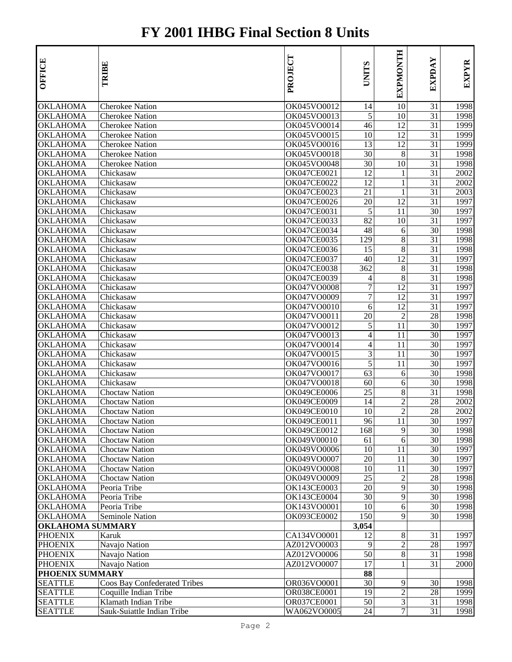## **FY 2001 IHBG Final Section 8 Units**

| <b>OFFICE</b>           | TRIBE                        | PROJECT                    | <b>UNTIS</b>          | <b>EXPMONTH</b>              | EXPDAY          | <b>EXPYR</b> |
|-------------------------|------------------------------|----------------------------|-----------------------|------------------------------|-----------------|--------------|
| OKLAHOMA                | Cherokee Nation              | OK045VO0012                | 14                    | 10                           | 31              | 1998         |
| OKLAHOMA                | <b>Cherokee Nation</b>       | OK045VO0013                | 5                     | 10                           | 31              | 1998         |
| OKLAHOMA                | <b>Cherokee Nation</b>       | OK045VO0014                | 46                    | 12                           | 31              | 1999         |
| OKLAHOMA                | <b>Cherokee Nation</b>       | OK045VO0015                | 10                    | 12                           | 31              | 1999         |
| OKLAHOMA                | <b>Cherokee Nation</b>       | OK045VO0016                | 13                    | 12                           | 31              | 1999         |
| OKLAHOMA                | <b>Cherokee Nation</b>       | OK045VO0018<br>OK045VO0048 | 30                    | 8                            | 31              | 1998         |
| OKLAHOMA                | <b>Cherokee Nation</b>       | OK047CE0021                | 30<br>$\overline{12}$ | 10                           | 31<br>31        | 1998<br>2002 |
| OKLAHOMA                | Chickasaw<br>Chickasaw       |                            | 12                    | $\mathbf{1}$                 | 31              | 2002         |
| OKLAHOMA                |                              | OK047CE0022<br>OK047CE0023 | 21                    | $\mathbf{1}$<br>$\mathbf{1}$ | 31              | 2003         |
| OKLAHOMA<br>OKLAHOMA    | Chickasaw<br>Chickasaw       | OK047CE0026                | 20                    | $\overline{12}$              | 31              | 1997         |
| OKLAHOMA                | Chickasaw                    | OK047CE0031                | 5                     | 11                           | 30              | 1997         |
| OKLAHOMA                | Chickasaw                    | OK047CE0033                | 82                    | 10                           | 31              | 1997         |
| OKLAHOMA                | Chickasaw                    | OK047CE0034                | 48                    | 6                            | $\overline{30}$ | 1998         |
| OKLAHOMA                | Chickasaw                    | OK047CE0035                | 129                   | 8                            | 31              | 1998         |
| OKLAHOMA                | Chickasaw                    | OK047CE0036                | 15                    | 8                            | 31              | 1998         |
| OKLAHOMA                | Chickasaw                    | <b>OK047CE0037</b>         | 40                    | 12                           | 31              | 1997         |
| <b>OKLAHOMA</b>         | Chickasaw                    | OK047CE0038                | 362                   | 8                            | 31              | 1998         |
| OKLAHOMA                | Chickasaw                    | <b>OK047CE0039</b>         | 4                     | 8                            | 31              | 1998         |
| OKLAHOMA                | Chickasaw                    | OK047VO0008                | 7                     | 12                           | 31              | 1997         |
| OKLAHOMA                | Chickasaw                    | OK047VO0009                | 7                     | 12                           | 31              | 1997         |
| OKLAHOMA                | Chickasaw                    | OK047VO0010                | 6                     | 12                           | 31              | 1997         |
| OKLAHOMA                | Chickasaw                    | OK047VO0011                | 20                    | $\overline{c}$               | 28              | 1998         |
| OKLAHOMA                | Chickasaw                    | OK047VO0012                | 5                     | 11                           | 30              | 1997         |
| OKLAHOMA                | Chickasaw                    | OK047VO0013                | $\overline{4}$        | 11                           | 30              | 1997         |
| OKLAHOMA                | Chickasaw                    | OK047VO0014                | $\overline{4}$        | 11                           | 30              | 1997         |
| OKLAHOMA                | Chickasaw                    | OK047VO0015                | 3                     | 11                           | 30              | 1997         |
| OKLAHOMA                | Chickasaw                    | OK047VO0016                | 5                     | 11                           | 30              | 1997         |
| OKLAHOMA                | Chickasaw                    | OK047VO0017                | 63                    | 6                            | $\overline{30}$ | 1998         |
| OKLAHOMA                | Chickasaw                    | OK047VO0018                | 60                    | 6                            | 30              | 1998         |
| OKLAHOMA                | Choctaw Nation               | OK049CE0006                | 25                    | 8                            | 31              | 1998         |
| OKLAHOMA                | <b>Choctaw Nation</b>        | <b>OK049CE0009</b>         | 14                    | $\overline{c}$               | 28              | 2002         |
| OKLAHOMA                | <b>Choctaw Nation</b>        | OK049CE0010                | 10                    | $\overline{c}$               | 28              | 2002         |
| <b>OKLAHOMA</b>         | <b>Choctaw Nation</b>        | OK049CE0011                | 96                    | 11                           | 30              | 1997         |
| OKLAHOMA                | <b>Choctaw Nation</b>        | OK049CE0012                | 168                   | 9                            | 30              | 1998         |
| OKLAHOMA                | <b>Choctaw Nation</b>        | OK049V00010                | 61                    | 6                            | 30              | 1998         |
| OKLAHOMA                | <b>Choctaw Nation</b>        | OK049VO0006                | 10                    | 11                           | 30              | 1997         |
| OKLAHOMA                | <b>Choctaw Nation</b>        | OK049VO0007                | 20                    | 11                           | 30              | 1997         |
| OKLAHOMA                | <b>Choctaw Nation</b>        | OK049VO0008                | 10                    | 11                           | 30              | 1997         |
| OKLAHOMA                | <b>Choctaw Nation</b>        | OK049VO0009                | 25                    | $\overline{c}$               | 28              | 1998         |
| OKLAHOMA                | Peoria Tribe                 | OK143CE0003                | 20                    | 9                            | 30              | 1998         |
| OKLAHOMA                | Peoria Tribe                 | <b>OK143CE0004</b>         | 30                    | 9                            | 30              | 1998         |
| OKLAHOMA                | Peoria Tribe                 | OK143VO0001                | 10                    | 6                            | 30              | 1998         |
| <b>OKLAHOMA</b>         | Seminole Nation              | <b>OK093CE0002</b>         | 150                   | 9                            | 30              | 1998         |
| <b>OKLAHOMA SUMMARY</b> |                              |                            | 3,054                 |                              |                 |              |
| <b>PHOENIX</b>          | Karuk                        | CA134VO0001                | 12                    | 8                            | 31              | 1997         |
| <b>PHOENIX</b>          | Navajo Nation                | AZ012VO0003                | 9                     | $\overline{2}$               | 28              | 1997         |
| <b>PHOENIX</b>          | Navajo Nation                | AZ012VO0006                | 50                    | 8                            | 31              | 1998         |
| PHOENIX                 | Navajo Nation                | AZ012VO0007                | 17                    | $\mathbf{1}$                 | 31              | 2000         |
| PHOENIX SUMMARY         |                              |                            | 88                    |                              |                 |              |
| SEATTLE                 | Coos Bay Confederated Tribes | OR036VO0001                | 30                    | 9                            | 30              | 1998         |
| <b>SEATTLE</b>          | Coquille Indian Tribe        | OR038CE0001                | 19                    | $\overline{\mathbf{c}}$      | 28              | 1999         |
| SEATTLE                 | Klamath Indian Tribe         | OR037CE0001                | 50                    | 3                            | 31              | 1998         |
| <b>SEATTLE</b>          | Sauk-Suiattle Indian Tribe   | WA062VO0005                | 24                    | $\tau$                       | 31              | 1998         |